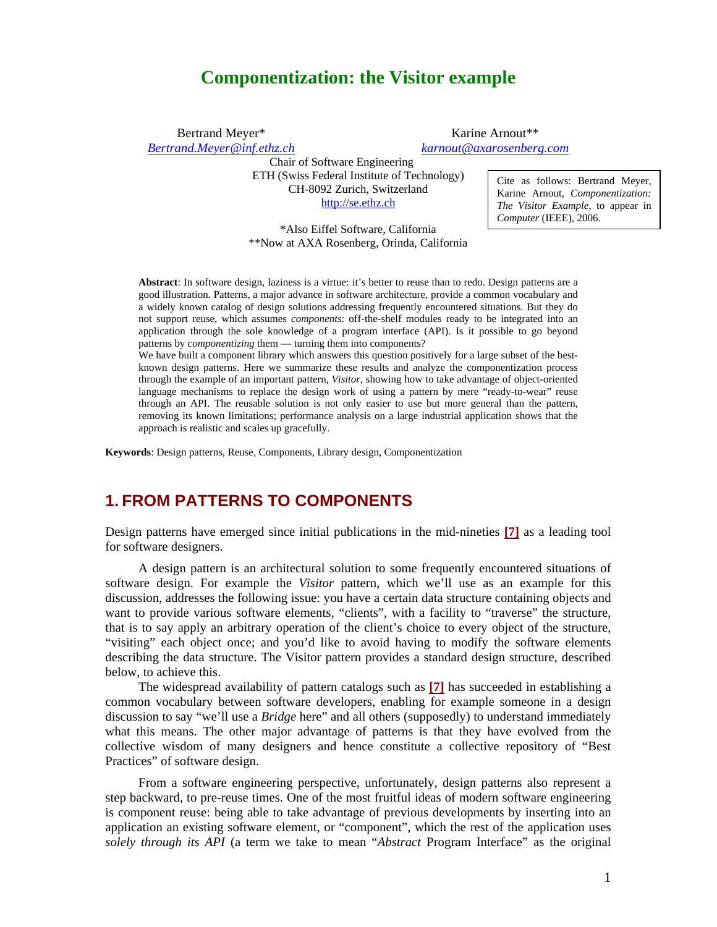# **Componentization: the Visitor example**

Bertrand Meyer\* Karine Arnout\*\* *[Bertrand.Meyer@inf.ethz.ch](mailto:Bertrand.Meyer@inf.ethz.ch) karnout@axarosenberg.com*

Chair of Software Engineering ETH (Swiss Federal Institute of Technology) Cite as follows: Bertrand Meyer, CH-8092 Zurich, Switzerland [http://se.ethz.ch](http://se.ethz.ch/)

\*Also Eiffel Software, California \*\*Now at AXA Rosenberg, Orinda, California

**Abstract**: In software design, laziness is a virtue: it's better to reuse than to redo. Design patterns are a good illustration. Patterns, a major advance in software architecture, provide a common vocabulary and a widely known catalog of design solutions addressing frequently encountered situations. But they do not support reuse, which assumes *components*: off-the-shelf modules ready to be integrated into an application through the sole knowledge of a program interface (API). Is it possible to go beyond patterns by *componentizing* them — turning them into components?

We have built a component library which answers this question positively for a large subset of the bestknown design patterns. Here we summarize these results and analyze the componentization process through the example of an important pattern, *Visitor*, showing how to take advantage of object-oriented language mechanisms to replace the design work of using a pattern by mere "ready-to-wear" reuse through an API. The reusable solution is not only easier to use but more general than the pattern, removing its known limitations; performance analysis on a large industrial application shows that the approach is realistic and scales up gracefully.

**Keywords**: Design patterns, Reuse, Components, Library design, Componentization

#### **1. FROM PATTERNS TO COMPONENTS**

Design patterns have emerged since initial publications in the mid-nineties **[\[7\]](#page-11-0)** as a leading tool for software designers.

A design pattern is an architectural solution to some frequently encountered situations of software design. For example the *Visitor* pattern, which we'll use as an example for this discussion, addresses the following issue: you have a certain data structure containing objects and want to provide various software elements, "clients", with a facility to "traverse" the structure, that is to say apply an arbitrary operation of the client's choice to every object of the structure, "visiting" each object once; and you'd like to avoid having to modify the software elements describing the data structure. The Visitor pattern provides a standard design structure, described below, to achieve this.

The widespread availability of pattern catalogs such as **[\[7\]](#page-11-0)** has succeeded in establishing a common vocabulary between software developers, enabling for example someone in a design discussion to say "we'll use a *Bridge* here" and all others (supposedly) to understand immediately what this means. The other major advantage of patterns is that they have evolved from the collective wisdom of many designers and hence constitute a collective repository of "Best Practices" of software design.

From a software engineering perspective, unfortunately, design patterns also represent a step backward, to pre-reuse times. One of the most fruitful ideas of modern software engineering is component reuse: being able to take advantage of previous developments by inserting into an application an existing software element, or "component", which the rest of the application uses *solely through its API* (a term we take to mean "*Abstract* Program Interface" as the original

Karine Arnout, *Componentization: The Visitor Example*, to appear in *Computer* (IEEE), 2006.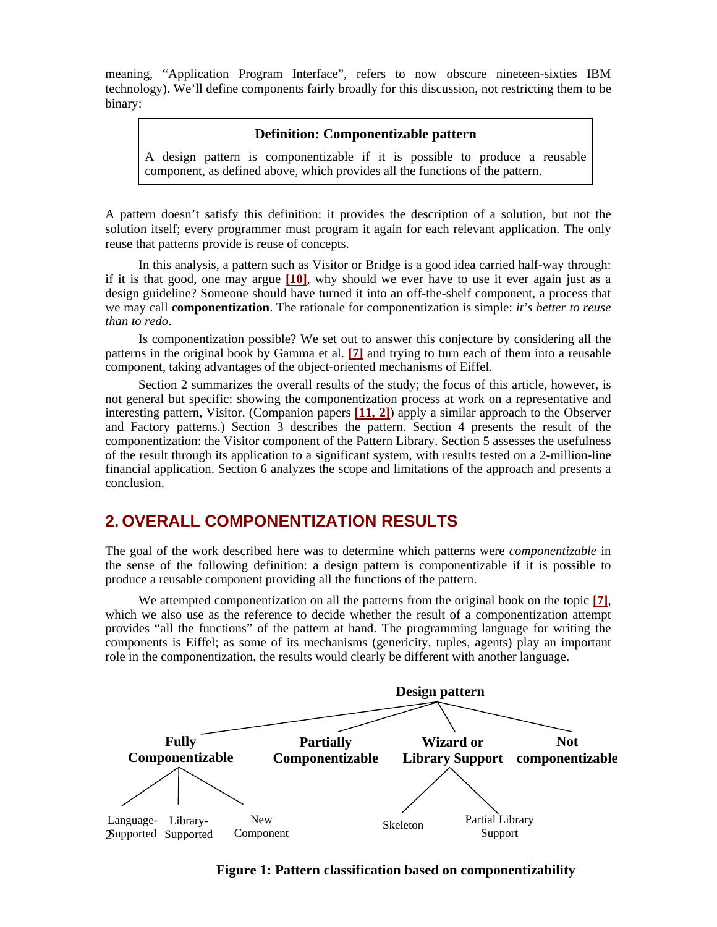meaning, "Application Program Interface", refers to now obscure nineteen-sixties IBM technology). We'll define components fairly broadly for this discussion, not restricting them to be binary:

#### **Definition: Componentizable pattern**

A design pattern is componentizable if it is possible to produce a reusable component, as defined above, which provides all the functions of the pattern.

A pattern doesn't satisfy this definition: it provides the description of a solution, but not the solution itself; every programmer must program it again for each relevant application. The only reuse that patterns provide is reuse of concepts.

In this analysis, a pattern such as Visitor or Bridge is a good idea carried half-way through: if it is that good, one may argue **[[10\]](#page-11-1)**, why should we ever have to use it ever again just as a design guideline? Someone should have turned it into an off-the-shelf component, a process that we may call **componentization**. The rationale for componentization is simple: *it's better to reuse than to redo*.

Is componentization possible? We set out to answer this conjecture by considering all the patterns in the original book by Gamma et al. **[\[7\]](#page-11-0)** and trying to turn each of them into a reusable component, taking advantages of the object-oriented mechanisms of Eiffel.

Section 2 summarizes the overall results of the study; the focus of this article, however, is not general but specific: showing the componentization process at work on a representative and interesting pattern, Visitor. (Companion papers **[[11,](#page-11-2) [2](#page-11-3)]**) apply a similar approach to the Observer and Factory patterns.) Section 3 describes the pattern. Section 4 presents the result of the componentization: the Visitor component of the Pattern Library. Section 5 assesses the usefulness of the result through its application to a significant system, with results tested on a 2-million-line financial application. Section 6 analyzes the scope and limitations of the approach and presents a conclusion.

### **2. OVERALL COMPONENTIZATION RESULTS**

The goal of the work described here was to determine which patterns were *componentizable* in the sense of the following definition: a design pattern is componentizable if it is possible to produce a reusable component providing all the functions of the pattern.

We attempted componentization on all the patterns from the original book on the topic **[\[7\]](#page-11-0)**, which we also use as the reference to decide whether the result of a componentization attempt provides "all the functions" of the pattern at hand. The programming language for writing the components is Eiffel; as some of its mechanisms (genericity, tuples, agents) play an important role in the componentization, the results would clearly be different with another language.



**Figure 1: Pattern classification based on componentizability**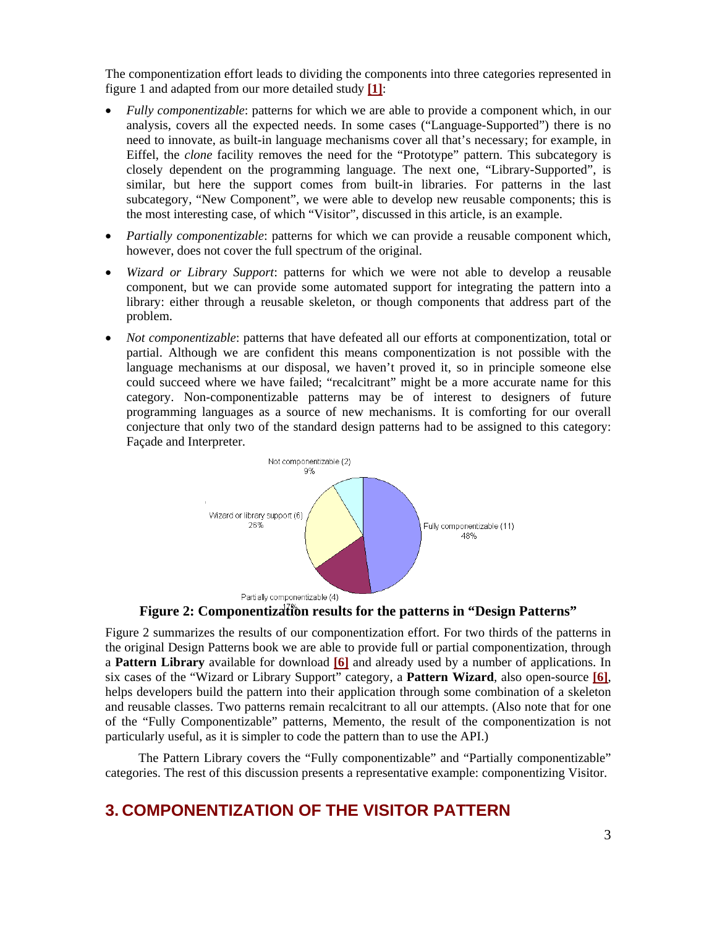The componentization effort leads to dividing the components into three categories represented in figure 1 and adapted from our more detailed study **[[1](#page-11-4)]**:

- *Fully componentizable:* patterns for which we are able to provide a component which, in our analysis, covers all the expected needs. In some cases ("Language-Supported") there is no need to innovate, as built-in language mechanisms cover all that's necessary; for example, in Eiffel, the *clone* facility removes the need for the "Prototype" pattern. This subcategory is closely dependent on the programming language. The next one, "Library-Supported", is similar, but here the support comes from built-in libraries. For patterns in the last subcategory, "New Component", we were able to develop new reusable components; this is the most interesting case, of which "Visitor", discussed in this article, is an example.
- *Partially componentizable*: patterns for which we can provide a reusable component which, however, does not cover the full spectrum of the original.
- *Wizard or Library Support*: patterns for which we were not able to develop a reusable component, but we can provide some automated support for integrating the pattern into a library: either through a reusable skeleton, or though components that address part of the problem.
- *Not componentizable*: patterns that have defeated all our efforts at componentization, total or partial. Although we are confident this means componentization is not possible with the language mechanisms at our disposal, we haven't proved it, so in principle someone else could succeed where we have failed; "recalcitrant" might be a more accurate name for this category. Non-componentizable patterns may be of interest to designers of future programming languages as a source of new mechanisms. It is comforting for our overall conjecture that only two of the standard design patterns had to be assigned to this category: Façade and Interpreter.



**Figure 2: Componentization results for the patterns in "Design Patterns"** 

Figure 2 summarizes the results of our componentization effort. For two thirds of the patterns in the original Design Patterns book we are able to provide full or partial componentization, through a **Pattern Library** available for download **[[6](#page-11-5)]** and already used by a number of applications. In six cases of the "Wizard or Library Support" category, a **Pattern Wizard**, also open-source **[\[6\]](#page-11-5)**, helps developers build the pattern into their application through some combination of a skeleton and reusable classes. Two patterns remain recalcitrant to all our attempts. (Also note that for one of the "Fully Componentizable" patterns, Memento, the result of the componentization is not particularly useful, as it is simpler to code the pattern than to use the API.)

 The Pattern Library covers the "Fully componentizable" and "Partially componentizable" categories. The rest of this discussion presents a representative example: componentizing Visitor.

# **3. COMPONENTIZATION OF THE VISITOR PATTERN**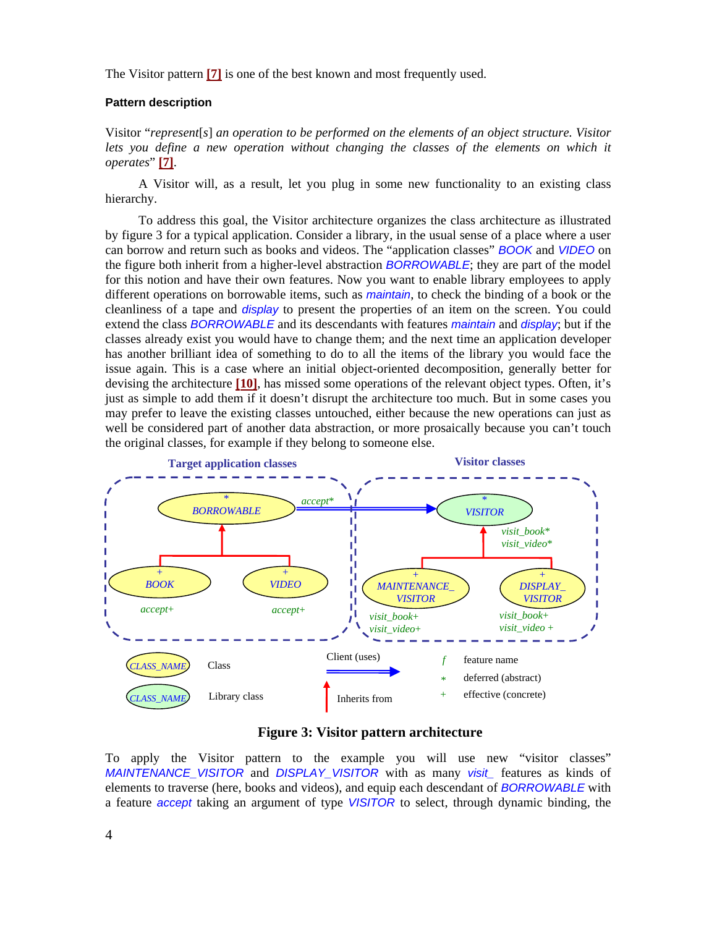The Visitor pattern **[\[7\]](#page-11-0)** is one of the best known and most frequently used.

#### **Pattern description**

Visitor "*represent*[*s*] *an operation to be performed on the elements of an object structure. Visitor*  lets you define a new operation without changing the classes of the elements on which it *operates*" **[\[7\]](#page-11-0)**.

A Visitor will, as a result, let you plug in some new functionality to an existing class hierarchy.

To address this goal, the Visitor architecture organizes the class architecture as illustrated by figure 3 for a typical application. Consider a library, in the usual sense of a place where a user can borrow and return such as books and videos. The "application classes" *BOOK* and *VIDEO* on the figure both inherit from a higher-level abstraction *BORROWABLE*; they are part of the model for this notion and have their own features. Now you want to enable library employees to apply different operations on borrowable items, such as *maintain*, to check the binding of a book or the cleanliness of a tape and *display* to present the properties of an item on the screen. You could extend the class *BORROWABLE* and its descendants with features *maintain* and *display*; but if the classes already exist you would have to change them; and the next time an application developer has another brilliant idea of something to do to all the items of the library you would face the issue again. This is a case where an initial object-oriented decomposition, generally better for devising the architecture **[\[10](#page-11-1)]**, has missed some operations of the relevant object types. Often, it's just as simple to add them if it doesn't disrupt the architecture too much. But in some cases you may prefer to leave the existing classes untouched, either because the new operations can just as well be considered part of another data abstraction, or more prosaically because you can't touch the original classes, for example if they belong to someone else.



**Figure 3: Visitor pattern architecture**

To apply the Visitor pattern to the example you will use new "visitor classes" *MAINTENANCE\_VISITOR* and *DISPLAY\_VISITOR* with as many *visit\_* features as kinds of elements to traverse (here, books and videos), and equip each descendant of *BORROWABLE* with a feature *accept* taking an argument of type *VISITOR* to select, through dynamic binding, the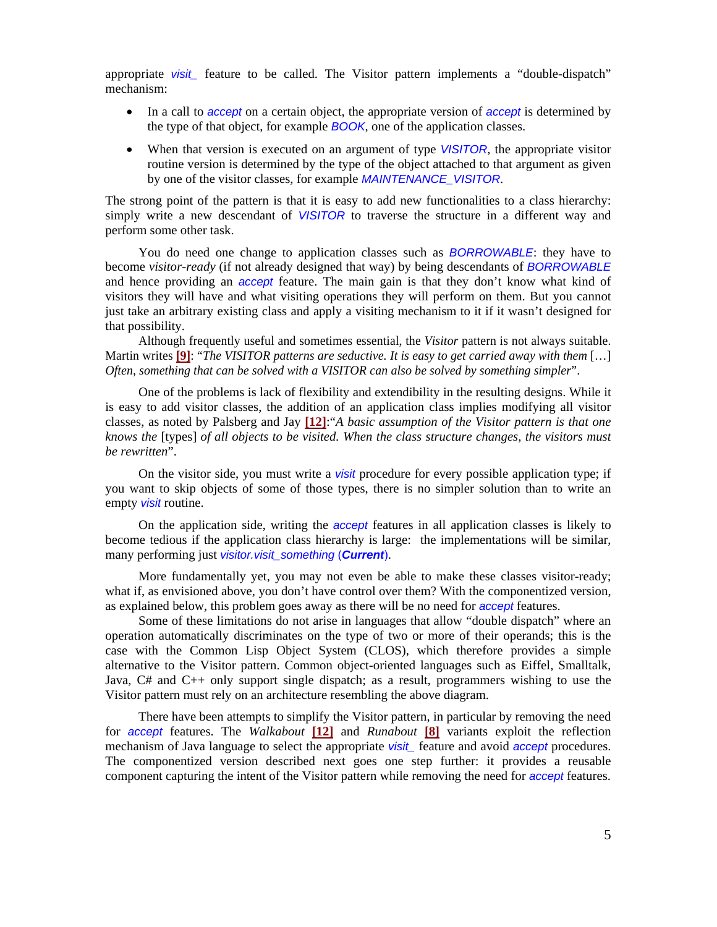appropriate *visit* feature to be called. The Visitor pattern implements a "double-dispatch" mechanism:

- In a call to *accept* on a certain object, the appropriate version of *accept* is determined by the type of that object, for example *BOOK*, one of the application classes.
- When that version is executed on an argument of type *VISITOR*, the appropriate visitor routine version is determined by the type of the object attached to that argument as given by one of the visitor classes, for example *MAINTENANCE\_VISITOR*.

The strong point of the pattern is that it is easy to add new functionalities to a class hierarchy: simply write a new descendant of *VISITOR* to traverse the structure in a different way and perform some other task.

You do need one change to application classes such as *BORROWABLE*: they have to become *visitor-ready* (if not already designed that way) by being descendants of *BORROWABLE* and hence providing an *accept* feature. The main gain is that they don't know what kind of visitors they will have and what visiting operations they will perform on them. But you cannot just take an arbitrary existing class and apply a visiting mechanism to it if it wasn't designed for that possibility.

Although frequently useful and sometimes essential, the *Visitor* pattern is not always suitable. Martin writes **[[9](#page-11-6)]**: "*The VISITOR patterns are seductive. It is easy to get carried away with them* […] *Often, something that can be solved with a VISITOR can also be solved by something simpler*".

One of the problems is lack of flexibility and extendibility in the resulting designs. While it is easy to add visitor classes, the addition of an application class implies modifying all visitor classes, as noted by Palsberg and Jay **[\[12](#page-11-7)]**:"*A basic assumption of the Visitor pattern is that one knows the* [types] *of all objects to be visited. When the class structure changes, the visitors must be rewritten*".

On the visitor side, you must write a *visit* procedure for every possible application type; if you want to skip objects of some of those types, there is no simpler solution than to write an empty *visit* routine.

On the application side, writing the *accept* features in all application classes is likely to become tedious if the application class hierarchy is large: the implementations will be similar, many performing just *visitor.visit\_something* (*Current*).

More fundamentally yet, you may not even be able to make these classes visitor-ready; what if, as envisioned above, you don't have control over them? With the componentized version, as explained below, this problem goes away as there will be no need for *accept* features.

Some of these limitations do not arise in languages that allow "double dispatch" where an operation automatically discriminates on the type of two or more of their operands; this is the case with the Common Lisp Object System (CLOS), which therefore provides a simple alternative to the Visitor pattern. Common object-oriented languages such as Eiffel, Smalltalk, Java, C# and C++ only support single dispatch; as a result, programmers wishing to use the Visitor pattern must rely on an architecture resembling the above diagram.

There have been attempts to simplify the Visitor pattern, in particular by removing the need for *accept* features. The *Walkabout* **[\[12](#page-11-7)]** and *Runabout* **[\[8\]](#page-11-8)** variants exploit the reflection mechanism of Java language to select the appropriate *visit\_* feature and avoid *accept* procedures. The componentized version described next goes one step further: it provides a reusable component capturing the intent of the Visitor pattern while removing the need for *accept* features.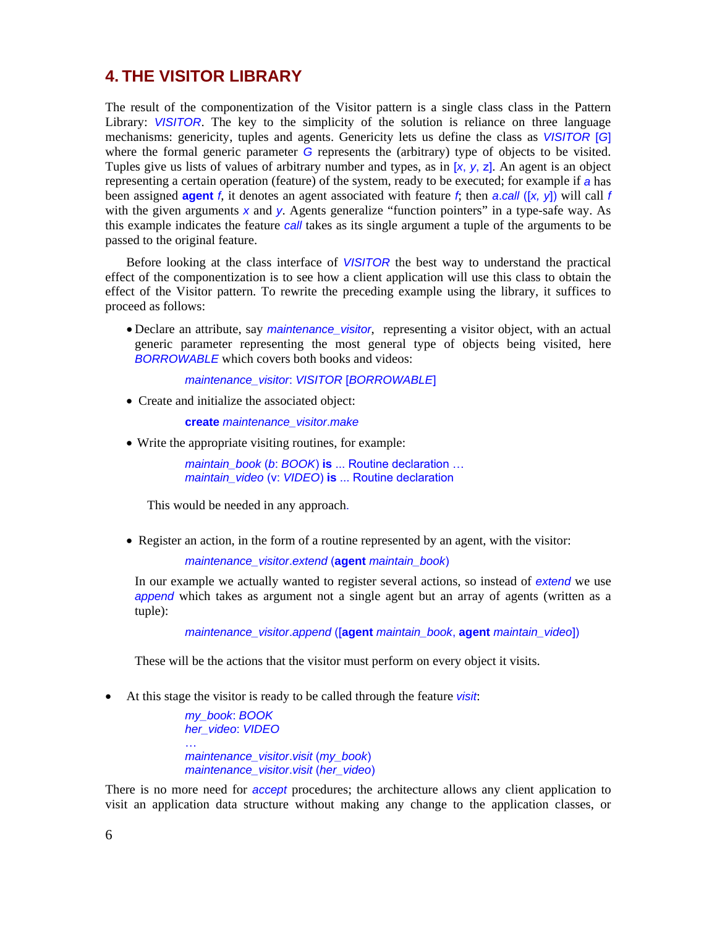## **4. THE VISITOR LIBRARY**

The result of the componentization of the Visitor pattern is a single class class in the Pattern Library: VISITOR. The key to the simplicity of the solution is reliance on three language mechanisms: genericity, tuples and agents. Genericity lets us define the class as *VISITOR* [*G*] where the formal generic parameter *G* represents the (arbitrary) type of objects to be visited. Tuples give us lists of values of arbitrary number and types, as in [*x*, *y*, z]. An agent is an object representing a certain operation (feature) of the system, ready to be executed; for example if *a* has been assigned **agent** *f*, it denotes an agent associated with feature *f*; then *a*.*call* ([*x, y*]) will call *f* with the given arguments *x* and *y*. Agents generalize "function pointers" in a type-safe way. As this example indicates the feature *call* takes as its single argument a tuple of the arguments to be passed to the original feature.

Before looking at the class interface of *VISITOR* the best way to understand the practical effect of the componentization is to see how a client application will use this class to obtain the effect of the Visitor pattern. To rewrite the preceding example using the library, it suffices to proceed as follows:

• Declare an attribute, say *maintenance\_visitor*, representing a visitor object, with an actual generic parameter representing the most general type of objects being visited, here *BORROWABLE* which covers both books and videos:

*maintenance\_visitor*: *VISITOR* [*BORROWABLE*]

• Create and initialize the associated object:

**create** *maintenance\_visitor*.*make* 

• Write the appropriate visiting routines, for example:

*maintain\_book* (*b*: *BOOK*) **is** ... Routine declaration … *maintain\_video* (v: *VIDEO*) **is** ... Routine declaration

This would be needed in any approach.

• Register an action, in the form of a routine represented by an agent, with the visitor:

 *maintenance\_visitor*.*extend* (**agent** *maintain\_book*)

 In our example we actually wanted to register several actions, so instead of *extend* we use *append* which takes as argument not a single agent but an array of agents (written as a tuple):

*maintenance\_visitor*.*append* ([**agent** *maintain\_book*, **agent** *maintain\_video*])

These will be the actions that the visitor must perform on every object it visits.

• At this stage the visitor is ready to be called through the feature *visit*:

*my\_book*: *BOOK her\_video*: *VIDEO*  … *maintenance\_visitor*.*visit* (*my\_book*) *maintenance\_visitor*.*visit* (*her\_video*)

There is no more need for *accept* procedures; the architecture allows any client application to visit an application data structure without making any change to the application classes, or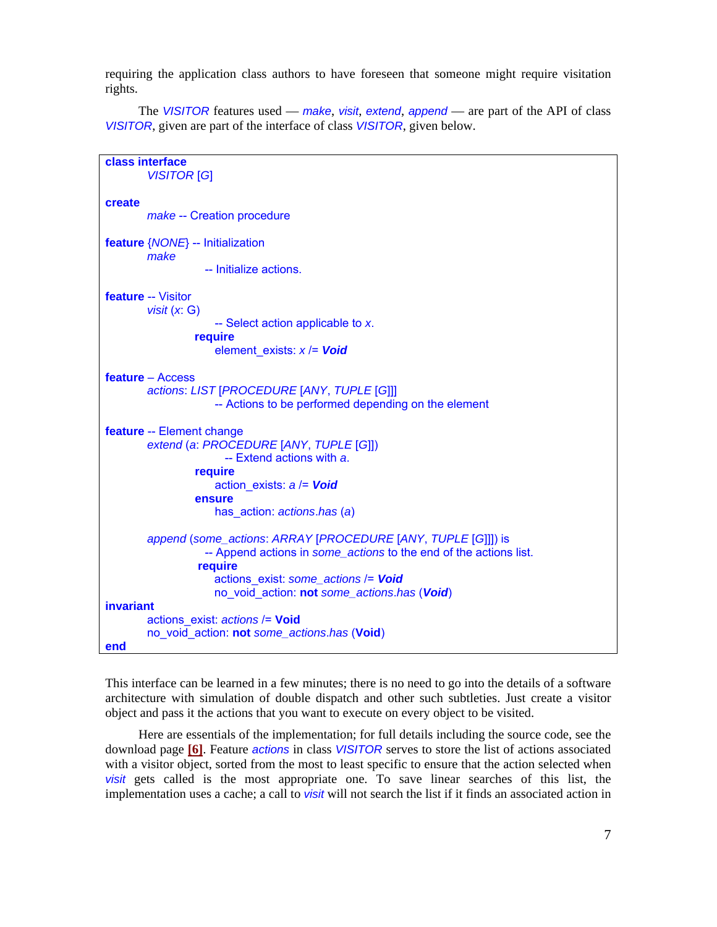requiring the application class authors to have foreseen that someone might require visitation rights.

The *VISITOR* features used — *make*, *visit*, *extend*, *append* — are part of the API of class *VISITOR*, given are part of the interface of class *VISITOR*, given below.

```
class interface 
        VISITOR [G] 
create 
        make -- Creation procedure 
feature {NONE} -- Initialization 
        make 
                    -- Initialize actions. 
feature -- Visitor 
        visit (x: G) 
                      -- Select action applicable to x. 
                  require 
                      element_exists: x /= Void
feature – Access 
        actions: LIST [PROCEDURE [ANY, TUPLE [G]]] 
                      -- Actions to be performed depending on the element 
feature -- Element change 
        extend (a: PROCEDURE [ANY, TUPLE [G]]) 
                        -- Extend actions with a. 
                  require 
                      action_exists: a /= Void
                  ensure 
                      has_action: actions.has (a) 
        append (some_actions: ARRAY [PROCEDURE [ANY, TUPLE [G]]]) is 
                    -- Append actions in some_actions to the end of the actions list. 
                   require 
                      actions_exist: some_actions /= Void
                      no_void_action: not some_actions.has (Void) 
invariant 
        actions_exist: actions /= Void
        no_void_action: not some_actions.has (Void) 
end
```
This interface can be learned in a few minutes; there is no need to go into the details of a software architecture with simulation of double dispatch and other such subtleties. Just create a visitor object and pass it the actions that you want to execute on every object to be visited.

Here are essentials of the implementation; for full details including the source code, see the download page **[\[6\]](#page-11-5)**. Feature *actions* in class *VISITOR* serves to store the list of actions associated with a visitor object, sorted from the most to least specific to ensure that the action selected when *visit* gets called is the most appropriate one. To save linear searches of this list, the implementation uses a cache; a call to *visit* will not search the list if it finds an associated action in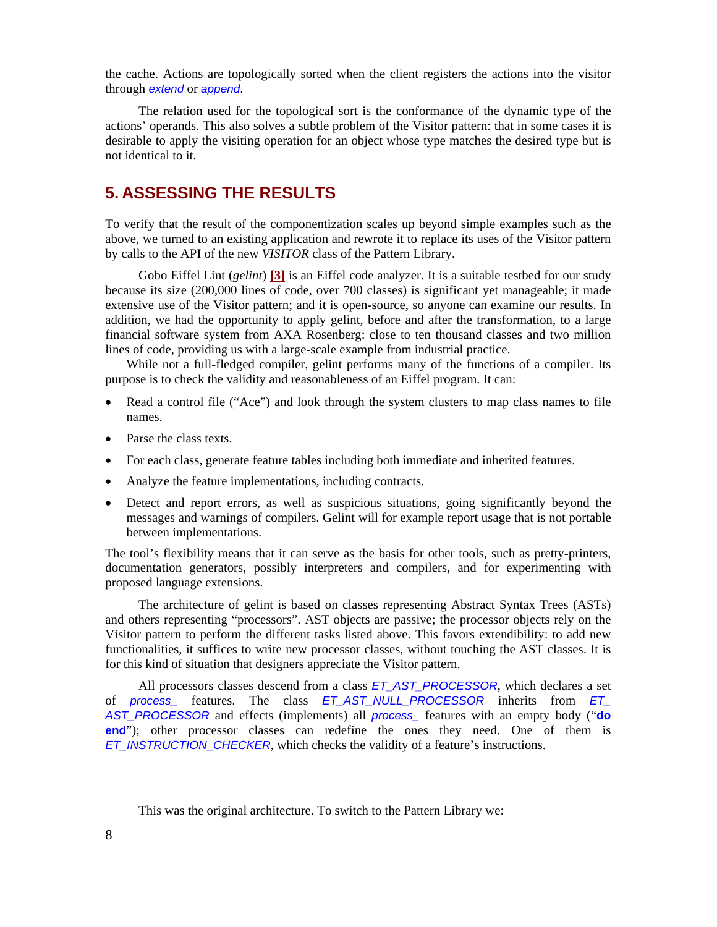the cache. Actions are topologically sorted when the client registers the actions into the visitor through *extend* or *append*.

The relation used for the topological sort is the conformance of the dynamic type of the actions' operands. This also solves a subtle problem of the Visitor pattern: that in some cases it is desirable to apply the visiting operation for an object whose type matches the desired type but is not identical to it.

## **5. ASSESSING THE RESULTS**

To verify that the result of the componentization scales up beyond simple examples such as the above, we turned to an existing application and rewrote it to replace its uses of the Visitor pattern by calls to the API of the new *VISITOR* class of the Pattern Library.

Gobo Eiffel Lint (*gelint*) **[\[3\]](#page-11-9)** is an Eiffel code analyzer. It is a suitable testbed for our study because its size (200,000 lines of code, over 700 classes) is significant yet manageable; it made extensive use of the Visitor pattern; and it is open-source, so anyone can examine our results. In addition, we had the opportunity to apply gelint, before and after the transformation, to a large financial software system from AXA Rosenberg: close to ten thousand classes and two million lines of code, providing us with a large-scale example from industrial practice.

While not a full-fledged compiler, gelint performs many of the functions of a compiler. Its purpose is to check the validity and reasonableness of an Eiffel program. It can:

- Read a control file ("Ace") and look through the system clusters to map class names to file names.
- Parse the class texts.
- For each class, generate feature tables including both immediate and inherited features.
- Analyze the feature implementations, including contracts.
- Detect and report errors, as well as suspicious situations, going significantly beyond the messages and warnings of compilers. Gelint will for example report usage that is not portable between implementations.

The tool's flexibility means that it can serve as the basis for other tools, such as pretty-printers, documentation generators, possibly interpreters and compilers, and for experimenting with proposed language extensions.

The architecture of gelint is based on classes representing Abstract Syntax Trees (ASTs) and others representing "processors". AST objects are passive; the processor objects rely on the Visitor pattern to perform the different tasks listed above. This favors extendibility: to add new functionalities, it suffices to write new processor classes, without touching the AST classes. It is for this kind of situation that designers appreciate the Visitor pattern.

All processors classes descend from a class *ET\_AST\_PROCESSOR*, which declares a set of *process\_* features. The class *ET\_AST\_NULL\_PROCESSOR* inherits from *ET\_ AST\_PROCESSOR* and effects (implements) all *process\_* features with an empty body ("**do end**"); other processor classes can redefine the ones they need. One of them is *ET\_INSTRUCTION\_CHECKER*, which checks the validity of a feature's instructions.

This was the original architecture. To switch to the Pattern Library we: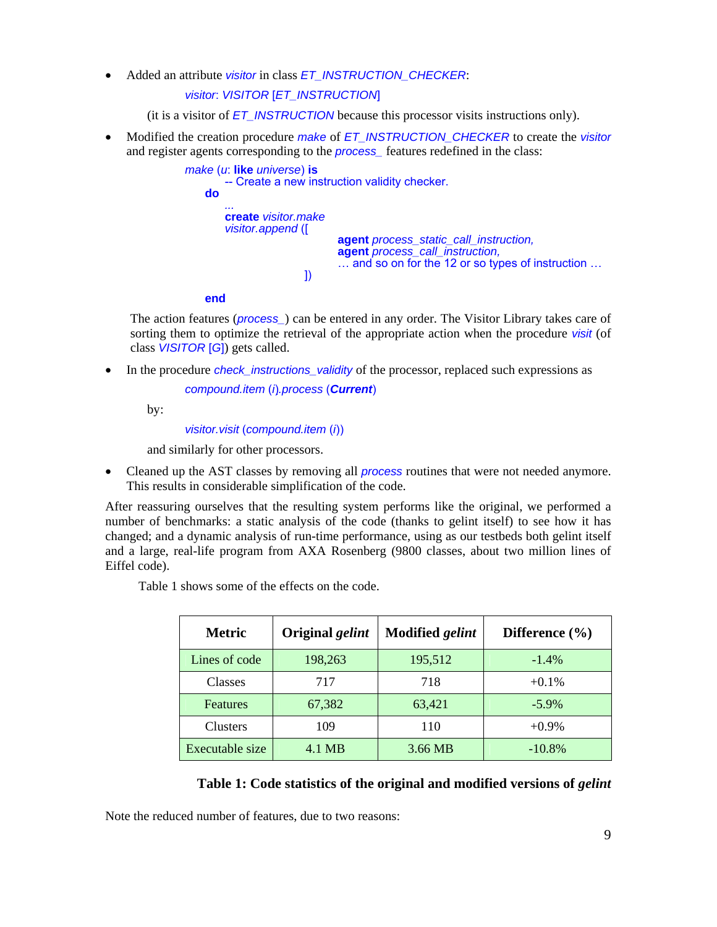• Added an attribute *visitor* in class *ET\_INSTRUCTION\_CHECKER*:

 *visitor*: *VISITOR* [*ET\_INSTRUCTION*]

(it is a visitor of *ET\_INSTRUCTION* because this processor visits instructions only).

• Modified the creation procedure *make* of *ET\_INSTRUCTION\_CHECKER* to create the *visitor* and register agents corresponding to the *process\_* features redefined in the class:

```
make (u: like universe) is<br>-- Create a new instruction validity checker.<br>do
 do ... 
                create visitor.make 
               visitor.append ([ agent process_static_call_instruction, 
                                    agent process_call_instruction, 
                              \ldots and so on for the 12 or so types of instruction \ldots 1)
 ]) 
           end
```
The action features (*process\_*) can be entered in any order. The Visitor Library takes care of sorting them to optimize the retrieval of the appropriate action when the procedure *visit* (of class *VISITOR* [*G*]) gets called.

• In the procedure *check instructions validity* of the processor, replaced such expressions as

 *compound.item* (*i*)*.process* (*Current*)

by:

 *visitor.visit* (*compound.item* (*i*))

and similarly for other processors.

• Cleaned up the AST classes by removing all *process* routines that were not needed anymore. This results in considerable simplification of the code.

After reassuring ourselves that the resulting system performs like the original, we performed a number of benchmarks: a static analysis of the code (thanks to gelint itself) to see how it has changed; and a dynamic analysis of run-time performance, using as our testbeds both gelint itself and a large, real-life program from AXA Rosenberg (9800 classes, about two million lines of Eiffel code).

Table 1 shows some of the effects on the code.

| <b>Metric</b>   | Original <i>gelint</i> | <b>Modified gelint</b> | Difference $(\% )$ |
|-----------------|------------------------|------------------------|--------------------|
| Lines of code   | 198,263                | 195,512                | $-1.4\%$           |
| <b>Classes</b>  | 717                    | 718                    | $+0.1%$            |
| <b>Features</b> | 67,382                 | 63,421                 | $-5.9\%$           |
| <b>Clusters</b> | 109                    | 110                    | $+0.9\%$           |
| Executable size | 4.1 MB                 | 3.66 MB                | $-10.8%$           |

#### **Table 1: Code statistics of the original and modified versions of** *gelint*

Note the reduced number of features, due to two reasons: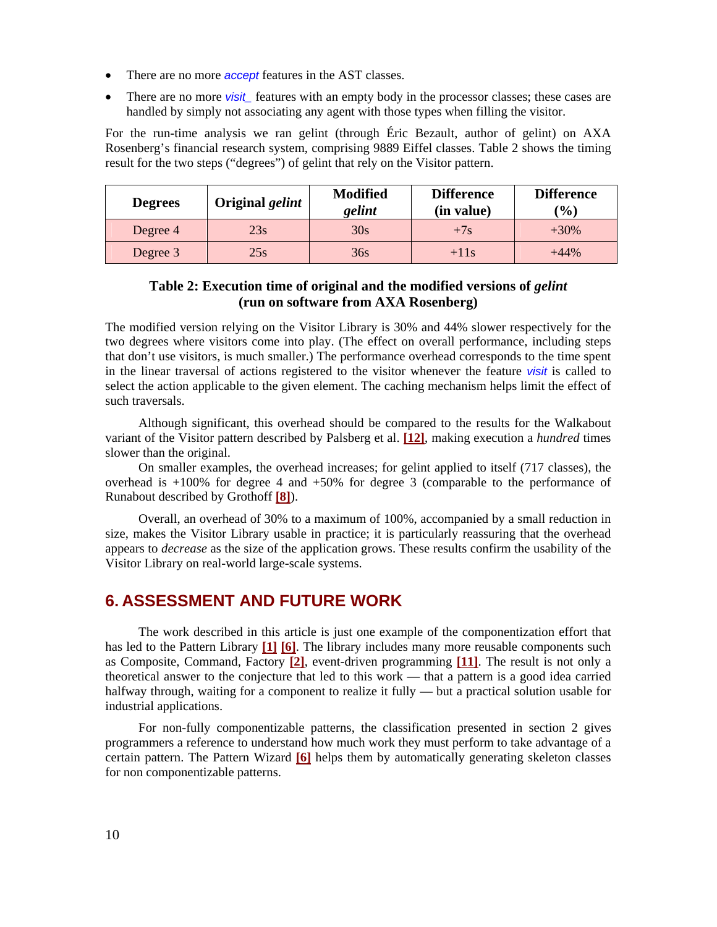- There are no more *accept* features in the AST classes.
- There are no more *visit\_* features with an empty body in the processor classes; these cases are handled by simply not associating any agent with those types when filling the visitor.

For the run-time analysis we ran gelint (through Éric Bezault, author of gelint) on AXA Rosenberg's financial research system, comprising 9889 Eiffel classes. Table 2 shows the timing result for the two steps ("degrees") of gelint that rely on the Visitor pattern.

| <b>Degrees</b> | Original <i>gelint</i> | <b>Modified</b><br>gelint | <b>Difference</b><br>(in value) | <b>Difference</b><br>$\mathcal{O}_0$ |
|----------------|------------------------|---------------------------|---------------------------------|--------------------------------------|
| Degree 4       | 23s                    | 30s                       | $+7s$                           | $+30\%$                              |
| Degree 3       | 25s                    | 36s                       | $+11s$                          | $+44\%$                              |

#### **Table 2: Execution time of original and the modified versions of** *gelint* **(run on software from AXA Rosenberg)**

The modified version relying on the Visitor Library is 30% and 44% slower respectively for the two degrees where visitors come into play. (The effect on overall performance, including steps that don't use visitors, is much smaller.) The performance overhead corresponds to the time spent in the linear traversal of actions registered to the visitor whenever the feature *visit* is called to select the action applicable to the given element. The caching mechanism helps limit the effect of such traversals.

Although significant, this overhead should be compared to the results for the Walkabout variant of the Visitor pattern described by Palsberg et al. **[\[12](#page-11-7)]**, making execution a *hundred* times slower than the original.

On smaller examples, the overhead increases; for gelint applied to itself (717 classes), the overhead is  $+100\%$  for degree 4 and  $+50\%$  for degree 3 (comparable to the performance of Runabout described by Grothoff **[\[8\]](#page-11-8)**).

Overall, an overhead of 30% to a maximum of 100%, accompanied by a small reduction in size, makes the Visitor Library usable in practice; it is particularly reassuring that the overhead appears to *decrease* as the size of the application grows. These results confirm the usability of the Visitor Library on real-world large-scale systems.

## **6. ASSESSMENT AND FUTURE WORK**

The work described in this article is just one example of the componentization effort that has led to the Pattern Library **[[1](#page-11-4)] [[6](#page-11-5)]**. The library includes many more reusable components such as Composite, Command, Factory **[\[2\]](#page-11-3)**, event-driven programming **[[11\]](#page-11-2)**. The result is not only a theoretical answer to the conjecture that led to this work — that a pattern is a good idea carried halfway through, waiting for a component to realize it fully — but a practical solution usable for industrial applications.

For non-fully componentizable patterns, the classification presented in section 2 gives programmers a reference to understand how much work they must perform to take advantage of a certain pattern. The Pattern Wizard **[\[6](#page-11-5)]** helps them by automatically generating skeleton classes for non componentizable patterns.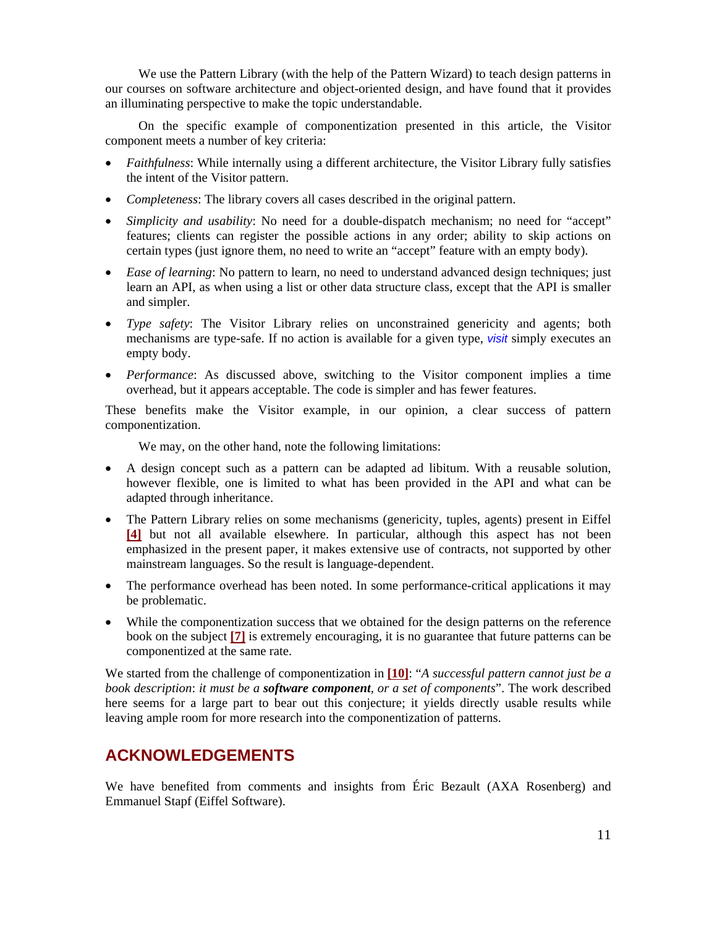We use the Pattern Library (with the help of the Pattern Wizard) to teach design patterns in our courses on software architecture and object-oriented design, and have found that it provides an illuminating perspective to make the topic understandable.

On the specific example of componentization presented in this article, the Visitor component meets a number of key criteria:

- *Faithfulness*: While internally using a different architecture, the Visitor Library fully satisfies the intent of the Visitor pattern.
- *Completeness*: The library covers all cases described in the original pattern.
- *Simplicity and usability*: No need for a double-dispatch mechanism; no need for "accept" features; clients can register the possible actions in any order; ability to skip actions on certain types (just ignore them, no need to write an "accept" feature with an empty body).
- *Ease of learning*: No pattern to learn, no need to understand advanced design techniques; just learn an API, as when using a list or other data structure class, except that the API is smaller and simpler.
- *Type safety*: The Visitor Library relies on unconstrained genericity and agents; both mechanisms are type-safe. If no action is available for a given type, *visit* simply executes an empty body.
- *Performance*: As discussed above, switching to the Visitor component implies a time overhead, but it appears acceptable. The code is simpler and has fewer features.

These benefits make the Visitor example, in our opinion, a clear success of pattern componentization.

We may, on the other hand, note the following limitations:

- A design concept such as a pattern can be adapted ad libitum. With a reusable solution, however flexible, one is limited to what has been provided in the API and what can be adapted through inheritance.
- The Pattern Library relies on some mechanisms (genericity, tuples, agents) present in Eiffel **[[4](#page-11-10)]** but not all available elsewhere. In particular, although this aspect has not been emphasized in the present paper, it makes extensive use of contracts, not supported by other mainstream languages. So the result is language-dependent.
- The performance overhead has been noted. In some performance-critical applications it may be problematic.
- While the componentization success that we obtained for the design patterns on the reference book on the subject **[\[7\]](#page-11-0)** is extremely encouraging, it is no guarantee that future patterns can be componentized at the same rate.

We started from the challenge of componentization in **[[10\]](#page-11-1)**: "*A successful pattern cannot just be a book description*: *it must be a software component, or a set of components*". The work described here seems for a large part to bear out this conjecture; it yields directly usable results while leaving ample room for more research into the componentization of patterns.

## **ACKNOWLEDGEMENTS**

We have benefited from comments and insights from Éric Bezault (AXA Rosenberg) and Emmanuel Stapf (Eiffel Software).